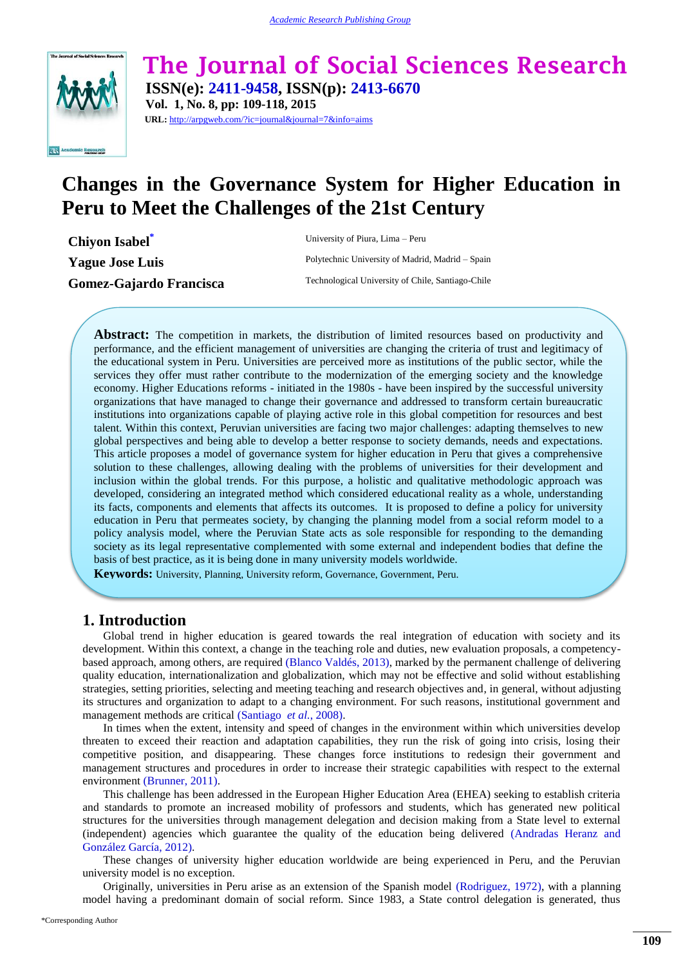

**The Journal of Social Sciences Research ISSN(e): 2411-9458, ISSN(p): 2413-6670 Vol. 1, No. 8, pp: 109-118, 2015**

**URL:** http://arpgweb.com/?ic=journal&journal=7&info=aims

# **Changes in the Governance System for Higher Education in Peru to Meet the Challenges of the 21st Century**

**Chiyon Isabel[\\*](#page-0-0)** University of Piura, Lima – Peru

**Yague Jose Luis** Polytechnic University of Madrid, Madrid – Spain Gomez-Gajardo Francisca Technological University of Chile, Santiago-Chile

**Abstract:** The competition in markets, the distribution of limited resources based on productivity and performance, and the efficient management of universities are changing the criteria of trust and legitimacy of the educational system in Peru. Universities are perceived more as institutions of the public sector, while the services they offer must rather contribute to the modernization of the emerging society and the knowledge economy. Higher Educations reforms - initiated in the 1980s - have been inspired by the successful university organizations that have managed to change their governance and addressed to transform certain bureaucratic institutions into organizations capable of playing active role in this global competition for resources and best talent. Within this context, Peruvian universities are facing two major challenges: adapting themselves to new global perspectives and being able to develop a better response to society demands, needs and expectations. This article proposes a model of governance system for higher education in Peru that gives a comprehensive solution to these challenges, allowing dealing with the problems of universities for their development and inclusion within the global trends. For this purpose, a holistic and qualitative methodologic approach was developed, considering an integrated method which considered educational reality as a whole, understanding its facts, components and elements that affects its outcomes. It is proposed to define a policy for university education in Peru that permeates society, by changing the planning model from a social reform model to a policy analysis model, where the Peruvian State acts as sole responsible for responding to the demanding society as its legal representative complemented with some external and independent bodies that define the basis of best practice, as it is being done in many university models worldwide.

**Keywords:** University, Planning, University reform, Governance, Government, Peru.

# **1. Introduction**

Global trend in higher education is geared towards the real integration of education with society and its development. Within this context, a change in the teaching role and duties, new evaluation proposals, a competencybased approach, among others, are required [\(Blanco Valdés, 2013\)](#page-8-0), marked by the permanent challenge of delivering quality education, internationalization and globalization, which may not be effective and solid without establishing strategies, setting priorities, selecting and meeting teaching and research objectives and, in general, without adjusting its structures and organization to adapt to a changing environment. For such reasons, institutional government and management methods are critical [\(Santiago](#page-9-0) *et al.*, 2008).

In times when the extent, intensity and speed of changes in the environment within which universities develop threaten to exceed their reaction and adaptation capabilities, they run the risk of going into crisis, losing their competitive position, and disappearing. These changes force institutions to redesign their government and management structures and procedures in order to increase their strategic capabilities with respect to the external environment [\(Brunner, 2011\)](#page-8-1).

This challenge has been addressed in the European Higher Education Area (EHEA) seeking to establish criteria and standards to promote an increased mobility of professors and students, which has generated new political structures for the universities through management delegation and decision making from a State level to external (independent) agencies which guarantee the quality of the education being delivered [\(Andradas Heranz and](#page-7-0)  [González García, 2012\)](#page-7-0).

These changes of university higher education worldwide are being experienced in Peru, and the Peruvian university model is no exception.

<span id="page-0-0"></span>Originally, universities in Peru arise as an extension of the Spanish model [\(Rodriguez, 1972\)](#page-9-1), with a planning model having a predominant domain of social reform. Since 1983, a State control delegation is generated, thus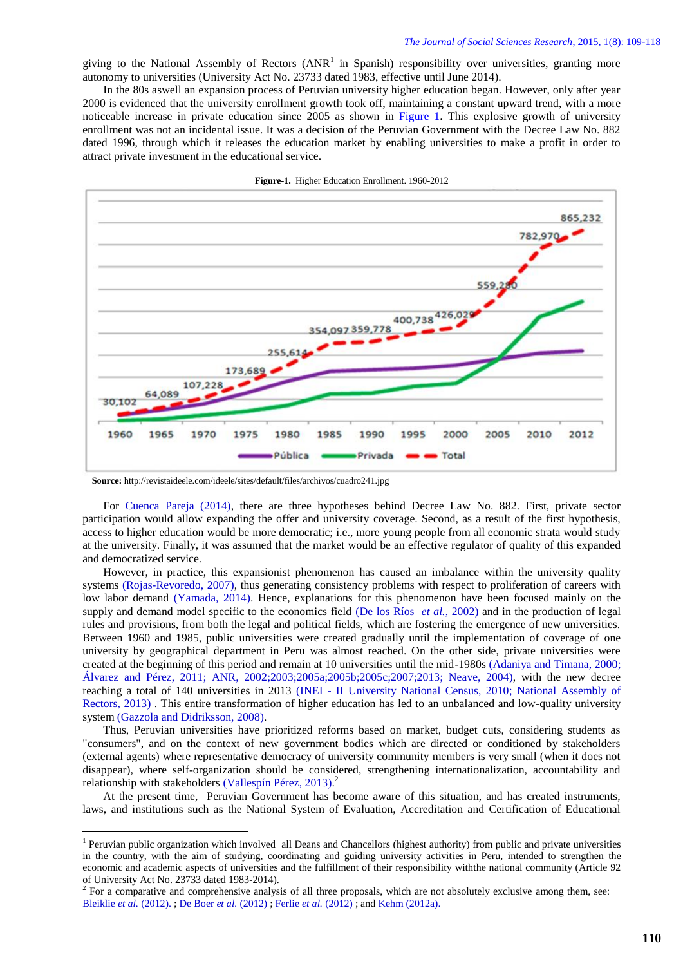giving to the National Assembly of Rectors  $(ANR<sup>1</sup>$  in Spanish) responsibility over universities, granting more autonomy to universities (University Act No. 23733 dated 1983, effective until June 2014).

In the 80s aswell an expansion process of Peruvian university higher education began. However, only after year 2000 is evidenced that the university enrollment growth took off, maintaining a constant upward trend, with a more noticeable increase in private education since 2005 as shown in [Figure 1.](#page-1-0) This explosive growth of university enrollment was not an incidental issue. It was a decision of the Peruvian Government with the Decree Law No. 882 dated 1996, through which it releases the education market by enabling universities to make a profit in order to attract private investment in the educational service.



<span id="page-1-0"></span>**Figure-1.** Higher Education Enrollment. 1960-2012

**.** 

For [Cuenca Pareja \(2014\),](#page-8-2) there are three hypotheses behind Decree Law No. 882. First, private sector participation would allow expanding the offer and university coverage. Second, as a result of the first hypothesis, access to higher education would be more democratic; i.e., more young people from all economic strata would study at the university. Finally, it was assumed that the market would be an effective regulator of quality of this expanded and democratized service.

However, in practice, this expansionist phenomenon has caused an imbalance within the university quality systems [\(Rojas-Revoredo, 2007\)](#page-9-2), thus generating consistency problems with respect to proliferation of careers with low labor demand [\(Yamada, 2014\)](#page-9-3). Hence, explanations for this phenomenon have been focused mainly on the supply and demand model specific to the economics field [\(De los Ríos](#page-8-3) *et al.*, 2002) and in the production of legal rules and provisions, from both the legal and political fields, which are fostering the emergence of new universities. Between 1960 and 1985, public universities were created gradually until the implementation of coverage of one university by geographical department in Peru was almost reached. On the other side, private universities were created at the beginning of this period and remain at 10 universities until the mid-1980s [\(Adaniya and Timana, 2000;](#page-7-1) [Álvarez and Pérez, 2011;](#page-7-2) [ANR, 2002](#page-8-4)[;2003](#page-8-5)[;2005a](#page-8-6)[;2005b](#page-8-7)[;2005c](#page-8-8)[;2007](#page-8-9)[;2013;](#page-8-10) [Neave, 2004\)](#page-9-4), with the new decree reaching a total of 140 universities in 2013 (INEI - [II University National Census, 2010;](#page-8-11) [National Assembly of](#page-8-12)  [Rectors, 2013\)](#page-8-12) . This entire transformation of higher education has led to an unbalanced and low-quality university system [\(Gazzola and Didriksson, 2008\)](#page-8-13).

Thus, Peruvian universities have prioritized reforms based on market, budget cuts, considering students as "consumers", and on the context of new government bodies which are directed or conditioned by stakeholders (external agents) where representative democracy of university community members is very small (when it does not disappear), where self-organization should be considered, strengthening internationalization, accountability and relationship with stakeholders [\(Vallespín Pérez, 2013\)](#page-9-5).<sup>2</sup>

At the present time, Peruvian Government has become aware of this situation, and has created instruments, laws, and institutions such as the National System of Evaluation, Accreditation and Certification of Educational

**Source:** http://revistaideele.com/ideele/sites/default/files/archivos/cuadro241.jpg

<sup>&</sup>lt;sup>1</sup> Peruvian public organization which involved all Deans and Chancellors (highest authority) from public and private universities in the country, with the aim of studying, coordinating and guiding university activities in Peru, intended to strengthen the economic and academic aspects of universities and the fulfillment of their responsibility withthe national community (Article 92 of University Act No. 23733 dated 1983-2014).

 $2^2$  For a comparative and comprehensive analysis of all three proposals, which are not absolutely exclusive among them, see: Bleiklie *et al.* (2012). ; De Boer *et al.* (2012) ; Ferlie *et al.* (2012) ; and Kehm (2012a).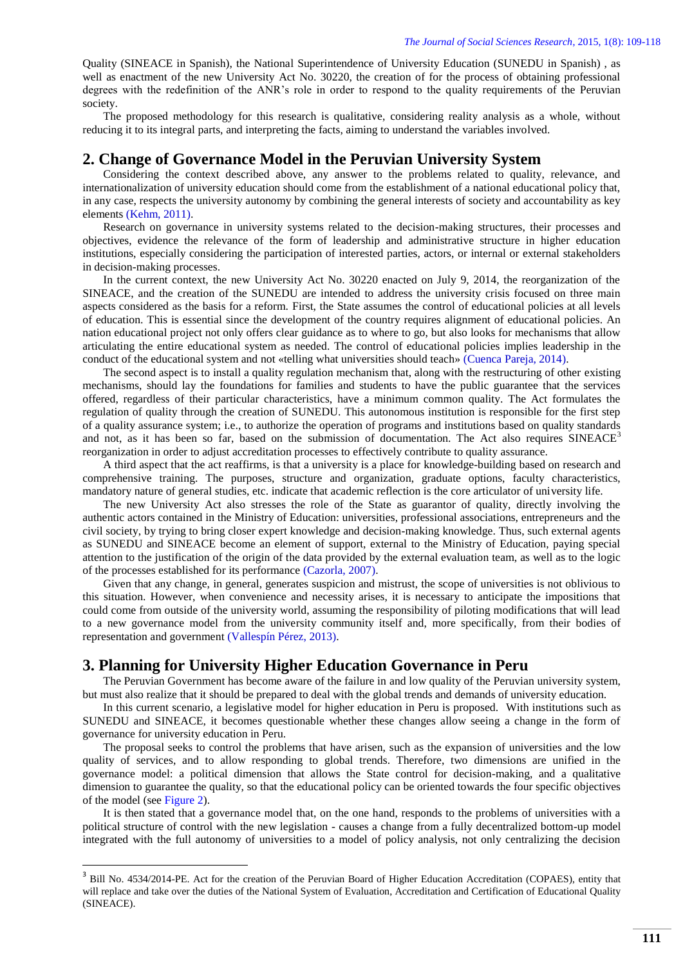Quality (SINEACE in Spanish), the National Superintendence of University Education (SUNEDU in Spanish) , as well as enactment of the new University Act No. 30220, the creation of for the process of obtaining professional degrees with the redefinition of the ANR's role in order to respond to the quality requirements of the Peruvian society.

The proposed methodology for this research is qualitative, considering reality analysis as a whole, without reducing it to its integral parts, and interpreting the facts, aiming to understand the variables involved.

# **2. Change of Governance Model in the Peruvian University System**

Considering the context described above, any answer to the problems related to quality, relevance, and internationalization of university education should come from the establishment of a national educational policy that, in any case, respects the university autonomy by combining the general interests of society and accountability as key elements [\(Kehm, 2011\)](#page-8-14).

Research on governance in university systems related to the decision-making structures, their processes and objectives, evidence the relevance of the form of leadership and administrative structure in higher education institutions, especially considering the participation of interested parties, actors, or internal or external stakeholders in decision-making processes.

In the current context, the new University Act No. 30220 enacted on July 9, 2014, the reorganization of the SINEACE, and the creation of the SUNEDU are intended to address the university crisis focused on three main aspects considered as the basis for a reform. First, the State assumes the control of educational policies at all levels of education. This is essential since the development of the country requires alignment of educational policies. An nation educational project not only offers clear guidance as to where to go, but also looks for mechanisms that allow articulating the entire educational system as needed. The control of educational policies implies leadership in the conduct of the educational system and not «telling what universities should teach» [\(Cuenca Pareja, 2014\)](#page-8-2).

The second aspect is to install a quality regulation mechanism that, along with the restructuring of other existing mechanisms, should lay the foundations for families and students to have the public guarantee that the services offered, regardless of their particular characteristics, have a minimum common quality. The Act formulates the regulation of quality through the creation of SUNEDU. This autonomous institution is responsible for the first step of a quality assurance system; i.e., to authorize the operation of programs and institutions based on quality standards and not, as it has been so far, based on the submission of documentation. The Act also requires SINEACE<sup>3</sup> reorganization in order to adjust accreditation processes to effectively contribute to quality assurance.

A third aspect that the act reaffirms, is that a university is a place for knowledge-building based on research and comprehensive training. The purposes, structure and organization, graduate options, faculty characteristics, mandatory nature of general studies, etc. indicate that academic reflection is the core articulator of university life.

The new University Act also stresses the role of the State as guarantor of quality, directly involving the authentic actors contained in the Ministry of Education: universities, professional associations, entrepreneurs and the civil society, by trying to bring closer expert knowledge and decision-making knowledge. Thus, such external agents as SUNEDU and SINEACE become an element of support, external to the Ministry of Education, paying special attention to the justification of the origin of the data provided by the external evaluation team, as well as to the logic of the processes established for its performance [\(Cazorla, 2007\)](#page-8-15).

Given that any change, in general, generates suspicion and mistrust, the scope of universities is not oblivious to this situation. However, when convenience and necessity arises, it is necessary to anticipate the impositions that could come from outside of the university world, assuming the responsibility of piloting modifications that will lead to a new governance model from the university community itself and, more specifically, from their bodies of representation and government [\(Vallespín Pérez, 2013\)](#page-9-5).

#### **3. Planning for University Higher Education Governance in Peru**

**.** 

The Peruvian Government has become aware of the failure in and low quality of the Peruvian university system, but must also realize that it should be prepared to deal with the global trends and demands of university education.

In this current scenario, a legislative model for higher education in Peru is proposed. With institutions such as SUNEDU and SINEACE, it becomes questionable whether these changes allow seeing a change in the form of governance for university education in Peru.

The proposal seeks to control the problems that have arisen, such as the expansion of universities and the low quality of services, and to allow responding to global trends. Therefore, two dimensions are unified in the governance model: a political dimension that allows the State control for decision-making, and a qualitative dimension to guarantee the quality, so that the educational policy can be oriented towards the four specific objectives of the model (see [Figure 2\)](#page-4-0).

It is then stated that a governance model that, on the one hand, responds to the problems of universities with a political structure of control with the new legislation - causes a change from a fully decentralized bottom-up model integrated with the full autonomy of universities to a model of policy analysis, not only centralizing the decision

<sup>&</sup>lt;sup>3</sup> Bill No. 4534/2014-PE. Act for the creation of the Peruvian Board of Higher Education Accreditation (COPAES), entity that will replace and take over the duties of the National System of Evaluation, Accreditation and Certification of Educational Quality (SINEACE).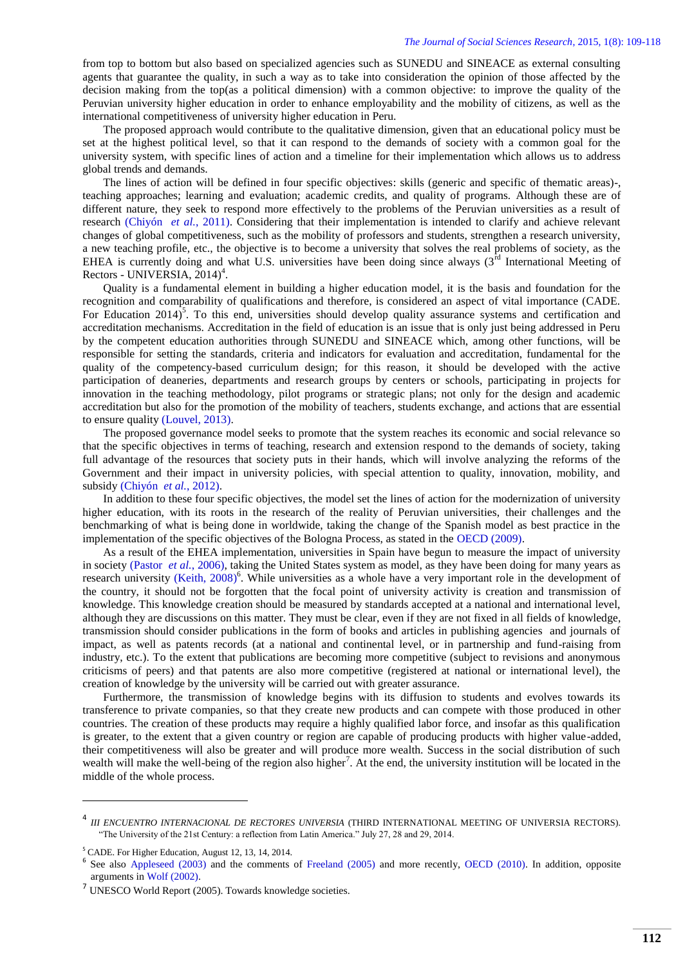from top to bottom but also based on specialized agencies such as SUNEDU and SINEACE as external consulting agents that guarantee the quality, in such a way as to take into consideration the opinion of those affected by the decision making from the top(as a political dimension) with a common objective: to improve the quality of the Peruvian university higher education in order to enhance employability and the mobility of citizens, as well as the international competitiveness of university higher education in Peru.

The proposed approach would contribute to the qualitative dimension, given that an educational policy must be set at the highest political level, so that it can respond to the demands of society with a common goal for the university system, with specific lines of action and a timeline for their implementation which allows us to address global trends and demands.

The lines of action will be defined in four specific objectives: skills (generic and specific of thematic areas)-, teaching approaches; learning and evaluation; academic credits, and quality of programs. Although these are of different nature, they seek to respond more effectively to the problems of the Peruvian universities as a result of research [\(Chiyón](#page-8-16) *et al.*, 2011). Considering that their implementation is intended to clarify and achieve relevant changes of global competitiveness, such as the mobility of professors and students, strengthen a research university, a new teaching profile, etc., the objective is to become a university that solves the real problems of society, as the EHEA is currently doing and what U.S. universities have been doing since always (3<sup>rd</sup> International Meeting of Rectors - UNIVERSIA, 2014)<sup>4</sup>.

Quality is a fundamental element in building a higher education model, it is the basis and foundation for the recognition and comparability of qualifications and therefore, is considered an aspect of vital importance (CADE. For Education 2014)<sup>5</sup>. To this end, universities should develop quality assurance systems and certification and accreditation mechanisms. Accreditation in the field of education is an issue that is only just being addressed in Peru by the competent education authorities through SUNEDU and SINEACE which, among other functions, will be responsible for setting the standards, criteria and indicators for evaluation and accreditation, fundamental for the quality of the competency-based curriculum design; for this reason, it should be developed with the active participation of deaneries, departments and research groups by centers or schools, participating in projects for innovation in the teaching methodology, pilot programs or strategic plans; not only for the design and academic accreditation but also for the promotion of the mobility of teachers, students exchange, and actions that are essential to ensure quality [\(Louvel, 2013\)](#page-8-17).

The proposed governance model seeks to promote that the system reaches its economic and social relevance so that the specific objectives in terms of teaching, research and extension respond to the demands of society, taking full advantage of the resources that society puts in their hands, which will involve analyzing the reforms of the Government and their impact in university policies, with special attention to quality, innovation, mobility, and subsidy [\(Chiyón](#page-8-18) *et al.*, 2012).

In addition to these four specific objectives, the model set the lines of action for the modernization of university higher education, with its roots in the research of the reality of Peruvian universities, their challenges and the benchmarking of what is being done in worldwide, taking the change of the Spanish model as best practice in the implementation of the specific objectives of the Bologna Process, as stated in the [OECD \(2009\).](#page-9-6)

As a result of the EHEA implementation, universities in Spain have begun to measure the impact of university in society [\(Pastor](#page-9-7) *et al.*, 2006), taking the United States system as model, as they have been doing for many years as research university [\(Keith, 2008\)](#page-8-19)<sup>6</sup>. While universities as a whole have a very important role in the development of the country, it should not be forgotten that the focal point of university activity is creation and transmission of knowledge. This knowledge creation should be measured by standards accepted at a national and international level, although they are discussions on this matter. They must be clear, even if they are not fixed in all fields of knowledge, transmission should consider publications in the form of books and articles in publishing agencies and journals of impact, as well as patents records (at a national and continental level, or in partnership and fund-raising from industry, etc.). To the extent that publications are becoming more competitive (subject to revisions and anonymous criticisms of peers) and that patents are also more competitive (registered at national or international level), the creation of knowledge by the university will be carried out with greater assurance.

Furthermore, the transmission of knowledge begins with its diffusion to students and evolves towards its transference to private companies, so that they create new products and can compete with those produced in other countries. The creation of these products may require a highly qualified labor force, and insofar as this qualification is greater, to the extent that a given country or region are capable of producing products with higher value-added, their competitiveness will also be greater and will produce more wealth. Success in the social distribution of such wealth will make the well-being of the region also higher<sup>7</sup>. At the end, the university institution will be located in the middle of the whole process.

**.** 

<sup>4</sup> *III ENCUENTRO INTERNACIONAL DE RECTORES UNIVERSIA* (THIRD INTERNATIONAL MEETING OF UNIVERSIA RECTORS). "The University of the 21st Century: a reflection from Latin America." July 27, 28 and 29, 2014.

<sup>5</sup> CADE. For Higher Education, August 12, 13, 14, 2014.

<sup>&</sup>lt;sup>6</sup> See also Appleseed (2003) and the comments of Freeland (2005) and more recently, OECD (2010). In addition, opposite arguments in Wolf (2002).

<sup>&</sup>lt;sup>7</sup> UNESCO World Report (2005). Towards knowledge societies.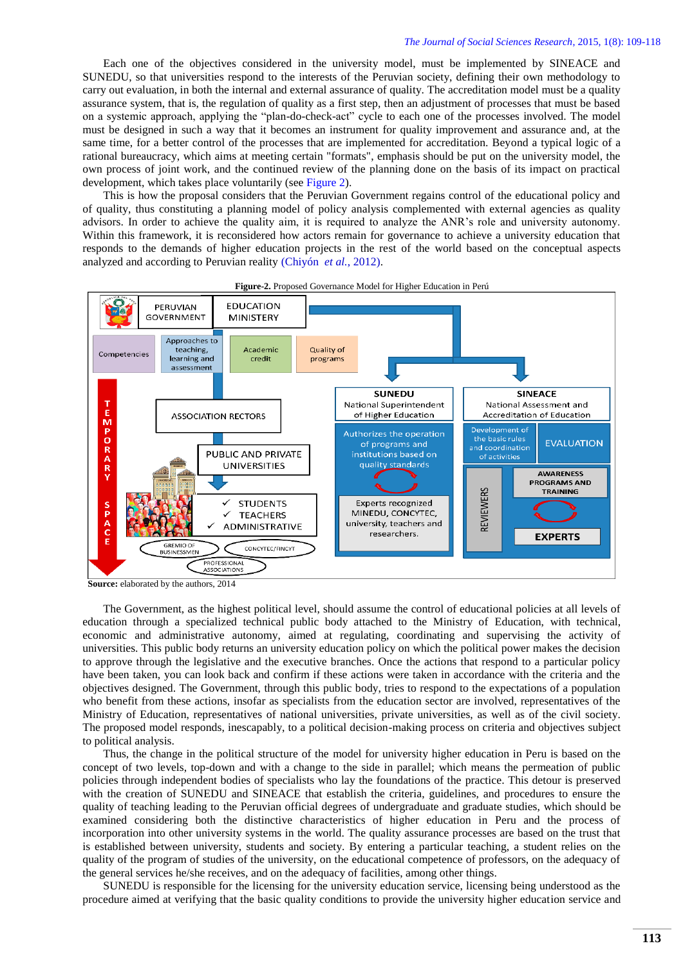Each one of the objectives considered in the university model, must be implemented by SINEACE and SUNEDU, so that universities respond to the interests of the Peruvian society, defining their own methodology to carry out evaluation, in both the internal and external assurance of quality. The accreditation model must be a quality assurance system, that is, the regulation of quality as a first step, then an adjustment of processes that must be based on a systemic approach, applying the "plan-do-check-act" cycle to each one of the processes involved. The model must be designed in such a way that it becomes an instrument for quality improvement and assurance and, at the same time, for a better control of the processes that are implemented for accreditation. Beyond a typical logic of a rational bureaucracy, which aims at meeting certain "formats", emphasis should be put on the university model, the own process of joint work, and the continued review of the planning done on the basis of its impact on practical development, which takes place voluntarily (see [Figure 2\)](#page-4-0).

This is how the proposal considers that the Peruvian Government regains control of the educational policy and of quality, thus constituting a planning model of policy analysis complemented with external agencies as quality advisors. In order to achieve the quality aim, it is required to analyze the ANR's role and university autonomy. Within this framework, it is reconsidered how actors remain for governance to achieve a university education that responds to the demands of higher education projects in the rest of the world based on the conceptual aspects analyzed and according to Peruvian reality [\(Chiyón](#page-8-18) *et al.*, 2012).

<span id="page-4-0"></span>

**Source:** elaborated by the authors, 2014

The Government, as the highest political level, should assume the control of educational policies at all levels of education through a specialized technical public body attached to the Ministry of Education, with technical, economic and administrative autonomy, aimed at regulating, coordinating and supervising the activity of universities. This public body returns an university education policy on which the political power makes the decision to approve through the legislative and the executive branches. Once the actions that respond to a particular policy have been taken, you can look back and confirm if these actions were taken in accordance with the criteria and the objectives designed. The Government, through this public body, tries to respond to the expectations of a population who benefit from these actions, insofar as specialists from the education sector are involved, representatives of the Ministry of Education, representatives of national universities, private universities, as well as of the civil society. The proposed model responds, inescapably, to a political decision-making process on criteria and objectives subject to political analysis.

Thus, the change in the political structure of the model for university higher education in Peru is based on the concept of two levels, top-down and with a change to the side in parallel; which means the permeation of public policies through independent bodies of specialists who lay the foundations of the practice. This detour is preserved with the creation of SUNEDU and SINEACE that establish the criteria, guidelines, and procedures to ensure the quality of teaching leading to the Peruvian official degrees of undergraduate and graduate studies, which should be examined considering both the distinctive characteristics of higher education in Peru and the process of incorporation into other university systems in the world. The quality assurance processes are based on the trust that is established between university, students and society. By entering a particular teaching, a student relies on the quality of the program of studies of the university, on the educational competence of professors, on the adequacy of the general services he/she receives, and on the adequacy of facilities, among other things.

SUNEDU is responsible for the licensing for the university education service, licensing being understood as the procedure aimed at verifying that the basic quality conditions to provide the university higher education service and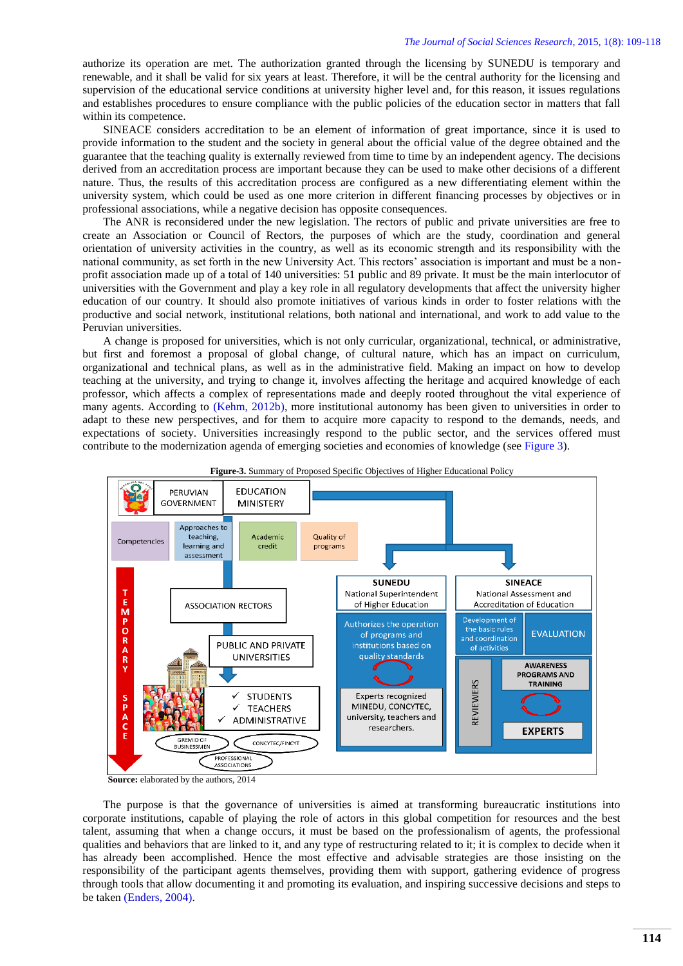authorize its operation are met. The authorization granted through the licensing by SUNEDU is temporary and renewable, and it shall be valid for six years at least. Therefore, it will be the central authority for the licensing and supervision of the educational service conditions at university higher level and, for this reason, it issues regulations and establishes procedures to ensure compliance with the public policies of the education sector in matters that fall within its competence.

SINEACE considers accreditation to be an element of information of great importance, since it is used to provide information to the student and the society in general about the official value of the degree obtained and the guarantee that the teaching quality is externally reviewed from time to time by an independent agency. The decisions derived from an accreditation process are important because they can be used to make other decisions of a different nature. Thus, the results of this accreditation process are configured as a new differentiating element within the university system, which could be used as one more criterion in different financing processes by objectives or in professional associations, while a negative decision has opposite consequences.

The ANR is reconsidered under the new legislation. The rectors of public and private universities are free to create an Association or Council of Rectors, the purposes of which are the study, coordination and general orientation of university activities in the country, as well as its economic strength and its responsibility with the national community, as set forth in the new University Act. This rectors' association is important and must be a nonprofit association made up of a total of 140 universities: 51 public and 89 private. It must be the main interlocutor of universities with the Government and play a key role in all regulatory developments that affect the university higher education of our country. It should also promote initiatives of various kinds in order to foster relations with the productive and social network, institutional relations, both national and international, and work to add value to the Peruvian universities.

A change is proposed for universities, which is not only curricular, organizational, technical, or administrative, but first and foremost a proposal of global change, of cultural nature, which has an impact on curriculum, organizational and technical plans, as well as in the administrative field. Making an impact on how to develop teaching at the university, and trying to change it, involves affecting the heritage and acquired knowledge of each professor, which affects a complex of representations made and deeply rooted throughout the vital experience of many agents. According to [\(Kehm, 2012b\)](#page-8-20), more institutional autonomy has been given to universities in order to adapt to these new perspectives, and for them to acquire more capacity to respond to the demands, needs, and expectations of society. Universities increasingly respond to the public sector, and the services offered must contribute to the modernization agenda of emerging societies and economies of knowledge (see [Figure 3\)](#page-5-0).



<span id="page-5-0"></span>**Figure-3.** Summary of Proposed Specific Objectives of Higher Educational Policy

 **Source:** elaborated by the authors, 2014

The purpose is that the governance of universities is aimed at transforming bureaucratic institutions into corporate institutions, capable of playing the role of actors in this global competition for resources and the best talent, assuming that when a change occurs, it must be based on the professionalism of agents, the professional qualities and behaviors that are linked to it, and any type of restructuring related to it; it is complex to decide when it has already been accomplished. Hence the most effective and advisable strategies are those insisting on the responsibility of the participant agents themselves, providing them with support, gathering evidence of progress through tools that allow documenting it and promoting its evaluation, and inspiring successive decisions and steps to be taken [\(Enders, 2004\)](#page-8-21).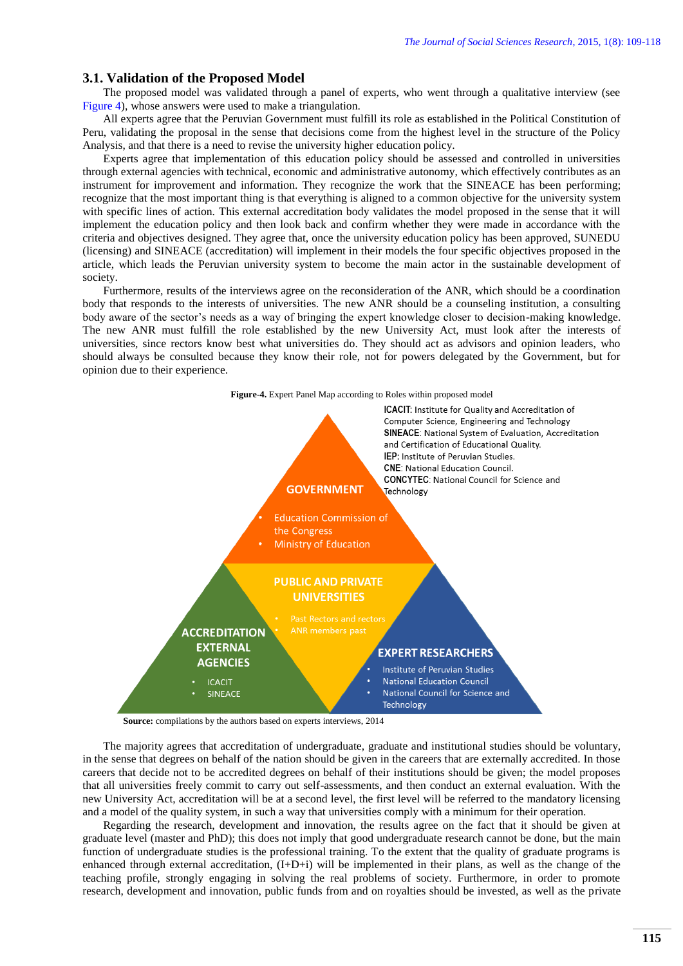#### **3.1. Validation of the Proposed Model**

The proposed model was validated through a panel of experts, who went through a qualitative interview (see [Figure 4\)](#page-6-0), whose answers were used to make a triangulation.

All experts agree that the Peruvian Government must fulfill its role as established in the Political Constitution of Peru, validating the proposal in the sense that decisions come from the highest level in the structure of the Policy Analysis, and that there is a need to revise the university higher education policy.

Experts agree that implementation of this education policy should be assessed and controlled in universities through external agencies with technical, economic and administrative autonomy, which effectively contributes as an instrument for improvement and information. They recognize the work that the SINEACE has been performing; recognize that the most important thing is that everything is aligned to a common objective for the university system with specific lines of action. This external accreditation body validates the model proposed in the sense that it will implement the education policy and then look back and confirm whether they were made in accordance with the criteria and objectives designed. They agree that, once the university education policy has been approved, SUNEDU (licensing) and SINEACE (accreditation) will implement in their models the four specific objectives proposed in the article, which leads the Peruvian university system to become the main actor in the sustainable development of society.

Furthermore, results of the interviews agree on the reconsideration of the ANR, which should be a coordination body that responds to the interests of universities. The new ANR should be a counseling institution, a consulting body aware of the sector's needs as a way of bringing the expert knowledge closer to decision-making knowledge. The new ANR must fulfill the role established by the new University Act, must look after the interests of universities, since rectors know best what universities do. They should act as advisors and opinion leaders, who should always be consulted because they know their role, not for powers delegated by the Government, but for opinion due to their experience.

<span id="page-6-0"></span>

**Source:** compilations by the authors based on experts interviews, 2014

The majority agrees that accreditation of undergraduate, graduate and institutional studies should be voluntary, in the sense that degrees on behalf of the nation should be given in the careers that are externally accredited. In those careers that decide not to be accredited degrees on behalf of their institutions should be given; the model proposes that all universities freely commit to carry out self-assessments, and then conduct an external evaluation. With the new University Act, accreditation will be at a second level, the first level will be referred to the mandatory licensing and a model of the quality system, in such a way that universities comply with a minimum for their operation.

Regarding the research, development and innovation, the results agree on the fact that it should be given at graduate level (master and PhD); this does not imply that good undergraduate research cannot be done, but the main function of undergraduate studies is the professional training. To the extent that the quality of graduate programs is enhanced through external accreditation, (I+D+i) will be implemented in their plans, as well as the change of the teaching profile, strongly engaging in solving the real problems of society. Furthermore, in order to promote research, development and innovation, public funds from and on royalties should be invested, as well as the private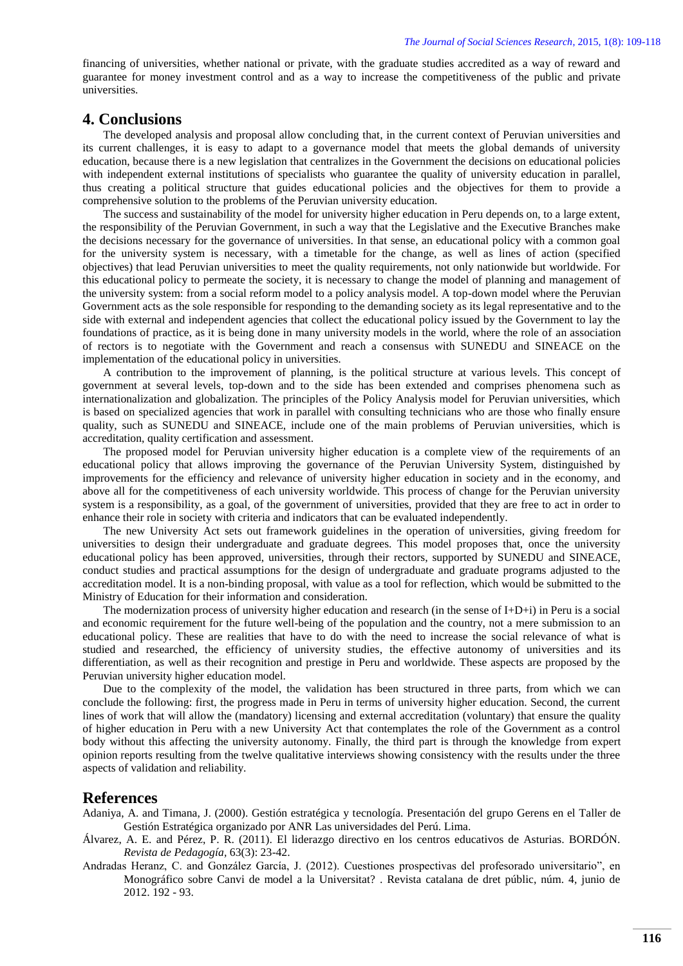financing of universities, whether national or private, with the graduate studies accredited as a way of reward and guarantee for money investment control and as a way to increase the competitiveness of the public and private universities.

# **4. Conclusions**

The developed analysis and proposal allow concluding that, in the current context of Peruvian universities and its current challenges, it is easy to adapt to a governance model that meets the global demands of university education, because there is a new legislation that centralizes in the Government the decisions on educational policies with independent external institutions of specialists who guarantee the quality of university education in parallel, thus creating a political structure that guides educational policies and the objectives for them to provide a comprehensive solution to the problems of the Peruvian university education.

The success and sustainability of the model for university higher education in Peru depends on, to a large extent, the responsibility of the Peruvian Government, in such a way that the Legislative and the Executive Branches make the decisions necessary for the governance of universities. In that sense, an educational policy with a common goal for the university system is necessary, with a timetable for the change, as well as lines of action (specified objectives) that lead Peruvian universities to meet the quality requirements, not only nationwide but worldwide. For this educational policy to permeate the society, it is necessary to change the model of planning and management of the university system: from a social reform model to a policy analysis model. A top-down model where the Peruvian Government acts as the sole responsible for responding to the demanding society as its legal representative and to the side with external and independent agencies that collect the educational policy issued by the Government to lay the foundations of practice, as it is being done in many university models in the world, where the role of an association of rectors is to negotiate with the Government and reach a consensus with SUNEDU and SINEACE on the implementation of the educational policy in universities.

A contribution to the improvement of planning, is the political structure at various levels. This concept of government at several levels, top-down and to the side has been extended and comprises phenomena such as internationalization and globalization. The principles of the Policy Analysis model for Peruvian universities, which is based on specialized agencies that work in parallel with consulting technicians who are those who finally ensure quality, such as SUNEDU and SINEACE, include one of the main problems of Peruvian universities, which is accreditation, quality certification and assessment.

The proposed model for Peruvian university higher education is a complete view of the requirements of an educational policy that allows improving the governance of the Peruvian University System, distinguished by improvements for the efficiency and relevance of university higher education in society and in the economy, and above all for the competitiveness of each university worldwide. This process of change for the Peruvian university system is a responsibility, as a goal, of the government of universities, provided that they are free to act in order to enhance their role in society with criteria and indicators that can be evaluated independently.

The new University Act sets out framework guidelines in the operation of universities, giving freedom for universities to design their undergraduate and graduate degrees. This model proposes that, once the university educational policy has been approved, universities, through their rectors, supported by SUNEDU and SINEACE, conduct studies and practical assumptions for the design of undergraduate and graduate programs adjusted to the accreditation model. It is a non-binding proposal, with value as a tool for reflection, which would be submitted to the Ministry of Education for their information and consideration.

The modernization process of university higher education and research (in the sense of I+D+i) in Peru is a social and economic requirement for the future well-being of the population and the country, not a mere submission to an educational policy. These are realities that have to do with the need to increase the social relevance of what is studied and researched, the efficiency of university studies, the effective autonomy of universities and its differentiation, as well as their recognition and prestige in Peru and worldwide. These aspects are proposed by the Peruvian university higher education model.

Due to the complexity of the model, the validation has been structured in three parts, from which we can conclude the following: first, the progress made in Peru in terms of university higher education. Second, the current lines of work that will allow the (mandatory) licensing and external accreditation (voluntary) that ensure the quality of higher education in Peru with a new University Act that contemplates the role of the Government as a control body without this affecting the university autonomy. Finally, the third part is through the knowledge from expert opinion reports resulting from the twelve qualitative interviews showing consistency with the results under the three aspects of validation and reliability.

### **References**

- <span id="page-7-1"></span>Adaniya, A. and Timana, J. (2000). Gestión estratégica y tecnología. Presentación del grupo Gerens en el Taller de Gestión Estratégica organizado por ANR Las universidades del Perú. Lima.
- <span id="page-7-2"></span>Álvarez, A. E. and Pérez, P. R. (2011). El liderazgo directivo en los centros educativos de Asturias. BORDÓN. *Revista de Pedagogía,* 63(3): 23-42.
- <span id="page-7-0"></span>Andradas Heranz, C. and González García, J. (2012). Cuestiones prospectivas del profesorado universitario", en Monográfico sobre Canvi de model a la Universitat? . Revista catalana de dret públic, núm. 4, junio de 2012. 192 - 93.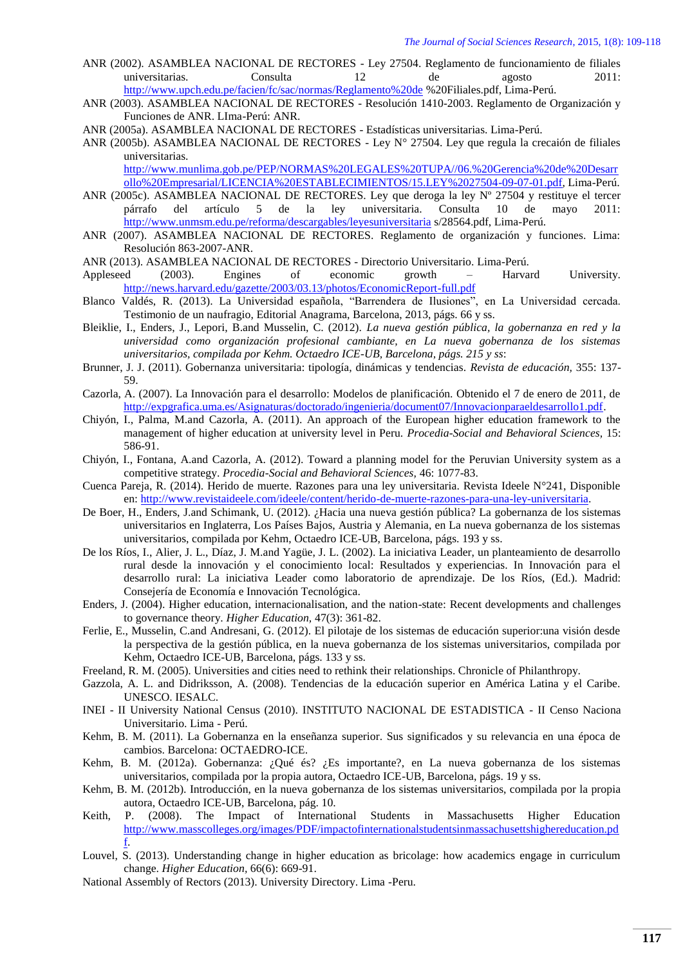- <span id="page-8-4"></span>ANR (2002). ASAMBLEA NACIONAL DE RECTORES - Ley 27504. Reglamento de funcionamiento de filiales universitarias. Consulta 12 de agosto 2011: <http://www.upch.edu.pe/facien/fc/sac/normas/Reglamento%20de> %20Filiales.pdf, Lima-Perú.
- <span id="page-8-5"></span>ANR (2003). ASAMBLEA NACIONAL DE RECTORES - Resolución 1410-2003. Reglamento de Organización y Funciones de ANR. LIma-Perú: ANR.
- <span id="page-8-6"></span>ANR (2005a). ASAMBLEA NACIONAL DE RECTORES - Estadísticas universitarias. Lima-Perú.
- <span id="page-8-7"></span>ANR (2005b). ASAMBLEA NACIONAL DE RECTORES - Ley N° 27504. Ley que regula la crecaión de filiales universitarias.

[http://www.munlima.gob.pe/PEP/NORMAS%20LEGALES%20TUPA//06.%20Gerencia%20de%20Desarr](http://www.munlima.gob.pe/PEP/NORMAS%20LEGALES%20TUPA/06.%20Gerencia%20de%20Desarrollo%20Empresarial/LICENCIA%20ESTABLECIMIENTOS/15.LEY%2027504-09-07-01.pdf) [ollo%20Empresarial/LICENCIA%20ESTABLECIMIENTOS/15.LEY%2027504-09-07-01.pdf,](http://www.munlima.gob.pe/PEP/NORMAS%20LEGALES%20TUPA/06.%20Gerencia%20de%20Desarrollo%20Empresarial/LICENCIA%20ESTABLECIMIENTOS/15.LEY%2027504-09-07-01.pdf) Lima-Perú.

- <span id="page-8-8"></span>ANR (2005c). ASAMBLEA NACIONAL DE RECTORES. Ley que deroga la ley  $N^{\circ}$  27504 y restituye el tercer párrafo del artículo 5 de la ley universitaria. Consulta 10 de mayo 2011: <http://www.unmsm.edu.pe/reforma/descargables/leyesuniversitaria> s/28564.pdf, Lima-Perú.
- <span id="page-8-9"></span>ANR (2007). ASAMBLEA NACIONAL DE RECTORES. Reglamento de organización y funciones. Lima: Resolución 863-2007-ANR.
- <span id="page-8-10"></span>ANR (2013). ASAMBLEA NACIONAL DE RECTORES - Directorio Universitario. Lima-Perú.
- Appleseed (2003). Engines of economic growth Harvard University. <http://news.harvard.edu/gazette/2003/03.13/photos/EconomicReport-full.pdf>
- <span id="page-8-0"></span>Blanco Valdés, R. (2013). La Universidad española, "Barrendera de Ilusiones", en La Universidad cercada. Testimonio de un naufragio, Editorial Anagrama, Barcelona, 2013, págs. 66 y ss.
- Bleiklie, I., Enders, J., Lepori, B.and Musselin, C. (2012). *La nueva gestión pública, la gobernanza en red y la universidad como organización profesional cambiante, en La nueva gobernanza de los sistemas universitarios, compilada por Kehm. Octaedro ICE-UB, Barcelona, págs. 215 y ss*:
- <span id="page-8-1"></span>Brunner, J. J. (2011). Gobernanza universitaria: tipología, dinámicas y tendencias. *Revista de educación,* 355: 137- 59.
- <span id="page-8-15"></span>Cazorla, A. (2007). La Innovación para el desarrollo: Modelos de planificación. Obtenido el 7 de enero de 2011, de [http://expgrafica.uma.es/Asignaturas/doctorado/ingenieria/document07/Innovacionparaeldesarrollo1.pdf.](http://expgrafica.uma.es/Asignaturas/doctorado/ingenieria/document07/Innovacionparaeldesarrollo1.pdf)
- <span id="page-8-16"></span>Chiyón, I., Palma, M.and Cazorla, A. (2011). An approach of the European higher education framework to the management of higher education at university level in Peru. *Procedia-Social and Behavioral Sciences,* 15: 586-91.
- <span id="page-8-18"></span>Chiyón, I., Fontana, A.and Cazorla, A. (2012). Toward a planning model for the Peruvian University system as a competitive strategy. *Procedia-Social and Behavioral Sciences,* 46: 1077-83.
- <span id="page-8-2"></span>Cuenca Pareja, R. (2014). Herido de muerte. Razones para una ley universitaria. Revista Ideele N°241, Disponible en[: http://www.revistaideele.com/ideele/content/herido-de-muerte-razones-para-una-ley-universitaria.](http://www.revistaideele.com/ideele/content/herido-de-muerte-razones-para-una-ley-universitaria)
- De Boer, H., Enders, J.and Schimank, U. (2012). ¿Hacia una nueva gestión pública? La gobernanza de los sistemas universitarios en Inglaterra, Los Países Bajos, Austria y Alemania, en La nueva gobernanza de los sistemas universitarios, compilada por Kehm, Octaedro ICE-UB, Barcelona, págs. 193 y ss.
- <span id="page-8-3"></span>De los Ríos, I., Alier, J. L., Díaz, J. M.and Yagüe, J. L. (2002). La iniciativa Leader, un planteamiento de desarrollo rural desde la innovación y el conocimiento local: Resultados y experiencias. In Innovación para el desarrollo rural: La iniciativa Leader como laboratorio de aprendizaje. De los Ríos, (Ed.). Madrid: Consejería de Economía e Innovación Tecnológica.
- <span id="page-8-21"></span>Enders, J. (2004). Higher education, internacionalisation, and the nation-state: Recent developments and challenges to governance theory. *Higher Education,* 47(3): 361-82.
- Ferlie, E., Musselin, C.and Andresani, G. (2012). El pilotaje de los sistemas de educación superior:una visión desde la perspectiva de la gestión pública, en la nueva gobernanza de los sistemas universitarios, compilada por Kehm, Octaedro ICE-UB, Barcelona, págs. 133 y ss.
- Freeland, R. M. (2005). Universities and cities need to rethink their relationships. Chronicle of Philanthropy.
- <span id="page-8-13"></span>Gazzola, A. L. and Didriksson, A. (2008). Tendencias de la educación superior en América Latina y el Caribe. UNESCO. IESALC.
- <span id="page-8-11"></span>INEI - II University National Census (2010). INSTITUTO NACIONAL DE ESTADISTICA - II Censo Naciona Universitario. Lima - Perú.
- <span id="page-8-14"></span>Kehm, B. M. (2011). La Gobernanza en la enseñanza superior. Sus significados y su relevancia en una época de cambios. Barcelona: OCTAEDRO-ICE.
- Kehm, B. M. (2012a). Gobernanza: ¿Qué és? ¿Es importante?, en La nueva gobernanza de los sistemas universitarios, compilada por la propia autora, Octaedro ICE-UB, Barcelona, págs. 19 y ss.
- <span id="page-8-20"></span>Kehm, B. M. (2012b). Introducción, en la nueva gobernanza de los sistemas universitarios, compilada por la propia autora, Octaedro ICE-UB, Barcelona, pág. 10.
- <span id="page-8-19"></span>Keith, P. (2008). The Impact of International Students in Massachusetts Higher Education [http://www.masscolleges.org/images/PDF/impactofinternationalstudentsinmassachusettshighereducation.pd](http://www.masscolleges.org/images/PDF/impactofinternationalstudentsinmassachusettshighereducation.pdf) [f.](http://www.masscolleges.org/images/PDF/impactofinternationalstudentsinmassachusettshighereducation.pdf)
- <span id="page-8-17"></span>Louvel, S. (2013). Understanding change in higher education as bricolage: how academics engage in curriculum change. *Higher Education,* 66(6): 669-91.
- <span id="page-8-12"></span>National Assembly of Rectors (2013). University Directory. Lima -Peru.